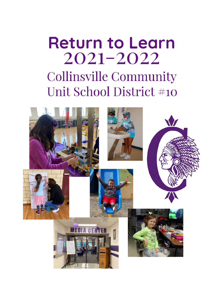# **Return to Learn**  $2021 - 2022$ **Collinsville Community** Unit School District #10

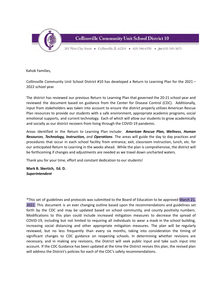

**Collinsville Community Unit School District 10** 

201 West Clay Street • Collinsville, IL 62234 • 618-346-6350 • fax 618-343-3673

Kahok Families,

Collinsville Community Unit School District #10 has developed a Return to Learning Plan for the 2021 – 2022 school year.

The district has reviewed our previous Return to Learning Plan that governed the 20-21 school year and reviewed the document based on guidance from the Center for Disease Control (CDC). Additionally, input from stakeholders was taken into account to ensure the district properly utilizes American Rescue Plan resources to provide our students with a safe environment, appropriate academic programs, social emotional supports, and current technology. Each of which will allow our students to grow academically and socially as our district recovers from living through the COVID-19 pandemic.

Areas identified in the Return to Learning Plan include: *American Rescue Plan, Wellness*, *Human Resources*, *Technology, Instruction, and Operations*. The areas will guide the day to day practices and procedures that occur in each school facility from entrance, exit, classroom instruction, lunch, etc. for our anticipated Return to Learning in the weeks ahead. While the plan is comprehensive, the district will be forthcoming if changes and adjustments are needed as we travel down uncharted waters.

Thank you for your time, effort and constant dedication to our students!

**Mark B. Skertich, Ed. D.** *Superintendent*

\*This set of guidelines and protocols was submitted to the Board of Education to be approved March 21, 2022. This document is an ever changing outline based upon the recommendations and guidelines set forth by the CDC and may be updated based on school community, and county positivity numbers. Modifications to this plan could include increased mitigation measures to decrease the spread of COVID-19, including but not limited to requiring all individuals to wear a mask in the school building, increasing social distancing and other appropriate mitigation measures. The plan will be regularly reviewed, but no less frequently than every six months, taking into consideration the timing of significant changes to CDC guidance on reopening schools. In determining whether revisions are necessary, and in making any revisions, the District will seek public input and take such input into account. If the CDC Guidance has been updated at the time the District revises this plan, the revised plan will address the District's policies for each of the CDC's safety recommendations.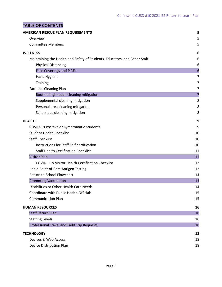# **TABLE OF CONTENTS**

| <b>AMERICAN RESCUE PLAN REQUIREMENTS</b>                                  | 5                |
|---------------------------------------------------------------------------|------------------|
| Overview                                                                  | 5                |
| <b>Committee Members</b>                                                  | 5                |
| <b>WELLNESS</b>                                                           | 6                |
| Maintaining the Health and Safety of Students, Educators, and Other Staff | 6                |
| <b>Physical Distancing</b>                                                | 6                |
| Face Coverings and P.P.E.                                                 | $\boldsymbol{6}$ |
| Hand Hygiene                                                              | 7                |
| <b>Training</b>                                                           | 7                |
| <b>Facilities Cleaning Plan</b>                                           | 7                |
| Routine high touch cleaning mitigation                                    | 7                |
| Supplemental cleaning mitigation                                          | 8                |
| Personal area cleaning mitigation                                         | 8                |
| School bus cleaning mitigation                                            | 8                |
| <b>HEALTH</b>                                                             | 9                |
| COVID-19 Positive or Symptomatic Students                                 | 9                |
| <b>Student Health Checklist</b>                                           | 10               |
| <b>Staff Checklist</b>                                                    | 10               |
| Instructions for Staff Self-certification                                 | 10               |
| <b>Staff Health Certification Checklist</b>                               | 11               |
| <b>Visitor Plan</b>                                                       | 11               |
| COVID - 19 Visitor Health Certification Checklist                         | 12               |
| Rapid Point-of-Care Antigen Testing                                       | 12               |
| Return to School Flowchart                                                | 14               |
| <b>Promoting Vaccination</b>                                              | 14               |
| Disabilities or Other Health Care Needs                                   | 14               |
| Coordinate with Public Health Officials                                   | 15               |
| <b>Communication Plan</b>                                                 | 15               |
| <b>HUMAN RESOURCES</b>                                                    | 16               |
| <b>Staff Return Plan</b>                                                  | 16               |
| <b>Staffing Levels</b>                                                    | 16               |
| Professional Travel and Field Trip Requests                               | 16               |
| <b>TECHNOLOGY</b>                                                         | 18               |
| Devices & Web Access                                                      | 18               |
| <b>Device Distribution Plan</b>                                           | 18               |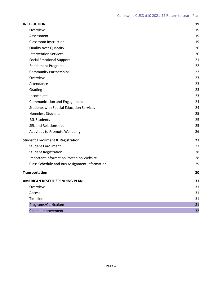| <b>INSTRUCTION</b>                              | 19 |
|-------------------------------------------------|----|
| Overview                                        | 19 |
| Assessment                                      | 19 |
| Classroom Instruction                           | 19 |
| <b>Quality over Quantity</b>                    | 20 |
| <b>Intervention Services</b>                    | 20 |
| <b>Social Emotional Support</b>                 | 21 |
| <b>Enrichment Programs</b>                      | 22 |
| <b>Community Partnerships</b>                   | 22 |
| Overview                                        | 23 |
| Attendance                                      | 23 |
| Grading                                         | 23 |
| Incomplete                                      | 23 |
| <b>Communication and Engagement</b>             | 24 |
| <b>Students with Special Education Services</b> | 24 |
| <b>Homeless Students</b>                        | 25 |
| <b>ESL Students</b>                             | 25 |
| SEL and Relationships                           | 25 |
| Activities to Promote Wellbeing                 | 26 |
| <b>Student Enrollment &amp; Registration</b>    | 27 |
| <b>Student Enrollment</b>                       | 27 |
| <b>Student Registration</b>                     | 28 |
| Important Information Posted on Website         | 28 |
| Class Schedule and Bus Assignment Information   | 29 |
| <b>Transportation</b>                           | 30 |
| <b>AMERICAN RESCUE SPENDING PLAN</b>            | 31 |
| Overview                                        | 31 |
| Access                                          | 31 |
| Timeline                                        | 31 |
| Programs/Curriculum                             | 31 |
| Capital Improvement                             | 32 |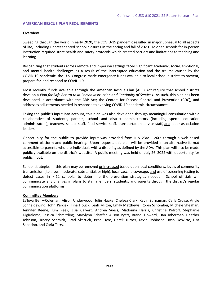#### <span id="page-4-1"></span><span id="page-4-0"></span>**AMERICAN RESCUE PLAN REQUIREMENTS**

#### **Overview**

Sweeping through the world in early 2020, the COVID-19 pandemic resulted in major upheaval to all aspects of life, including unprecedented school closures in the spring and fall of 2020. To open schools for in-person instruction required strict health and safety protocols which created barriers and limitations to teaching and learning.

Recognizing that students across remote and in-person settings faced significant academic, social, emotional, and mental health challenges as a result of the interrupted education and the trauma caused by the COVID-19 pandemic, the U.S. Congress made emergency funds available to local school districts to prevent, prepare for, and respond to COVID-19.

Most recently, funds available through the American Rescue Plan (ARP) Act require that school districts develop a *Plan for Safe Return to In-Person Instruction and Continuity of Services.* As such, this plan has been developed in accordance with the ARP Act; the Centers for Disease Control and Prevention (CDC); and addresses adjustments needed in response to evolving COVID-19 pandemic circumstances.

Taking the public's input into account, this plan was also developed through meaningful consultation with a collaborative of students, parents, school and district administrators (including special education administrators), teachers, school staff, food service staff, transportation service staff, and labor association leaders.

Opportunity for the public to provide input was provided from July 23rd - 26th through a web-based comment platform and public hearing. Upon request, this plan will be provided in an alternative format accessible to parents who are individuals with a disability as defined by the ADA. This plan will also be made publicly available on the district's website. A public meeting was held on July 26, 2022 with opportunity for public input.

School strategies in this plan may be removed or increased based upon local conditions, levels of community transmission (i.e., low, moderate, substantial, or high), local vaccine coverage, and use of screening testing to detect cases in K-12 schools, to determine the prevention strategies needed. School officials will communicate any changes in plans to staff members, students, and parents through the district's regular communication platforms.

#### <span id="page-4-2"></span>**Committee Members**

LaToya Berry-Coleman, Alison Underwood, Julie Haake, Chelsea Clark, Kevin Stirnaman, Carla Cruise, Angie Schneidewind, John Parciak, Tina Houck, Leah Milton, Emily Matthews, Robin Schomber, Michele Sheahan, Jennifer Keene, Kim Peek, Lisa Calvert, Andrea Suess, Madonna Harris, Christine Petroff, Stephanie Digiralomo, Jessica Schmittling, Marylynn Schaffer, Alison Pyatt, Brandi Howard**,** Dan Toberman, Heather Johnson, Tracey Schmidt, Brad Skertich, Brad Hyre, Derek Turner, Kevin Robinson, Josh DeWitte, Lisa Sabatino, and Carla Terry.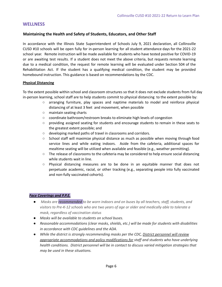## <span id="page-5-1"></span><span id="page-5-0"></span>**WELLNESS**

## **Maintaining the Health and Safety of Students, Educators, and Other Staff**

In accordance with the Illinois State Superintendent of Schools July 9, 2021 declaration, all Collinsville CUSD #10 schools will be open fully for in-person learning for all student attendance days for the 2021-22 school year. Remote instruction will be made available for students who have tested positive for COVID-19 or are awaiting test results. If a student does not meet the above criteria, but requests remote learning due to a medical condition, the request for remote learning will be evaluated under Section 504 of the Rehabilitation Act. If the student has a qualifying medical condition, the student may be provided homebound instruction. This guidance is based on recommendations by the CDC.

## <span id="page-5-2"></span>**Physical Distancing**

To the extent possible within school and classroom structures so that it does not exclude students from full day in-person learning, school staff are to help students commit to physical distancing to the extent possible by:

- arranging furniture, play spaces and naptime materials to model and reinforce physical distancing of at least 3 feet and movement, when possible
- maintain seating charts
- coordinate bathroom/restroom breaks to eliminate high levels of congestion
- providing assigned seating for students and encourage students to remain in these seats to the greatest extent possible; and
- developing marked paths of travel in classrooms and corridors.
- School staff will maximize physical distance as much as possible when moving through food service lines and while eating indoors. Aside from the cafeteria, additional spaces for mealtime seating will be utilized when available and feasible (e.g., weather permitting).
- The release of classrooms to the cafeteria may be considered to help ensure social distancing while students wait in line.
- Physical distancing measures are to be done in an equitable manner that does not perpetuate academic, racial, or other tracking (e.g., separating people into fully vaccinated and non-fully vaccinated cohorts).

## <span id="page-5-3"></span>*Face Coverings and P.P.E.*

- *● Masks are recommended to be worn indoors and on buses by all teachers, staff, students, and visitors to Pre-K-12 schools who are two years of age or older and medically able to tolerate a mask, regardless of vaccination status*
- *● Masks will be available to students on school buses.*
- *● Reasonable accommodations (clear masks, shields, etc.) will be made for students with disabilities in accordance with CDC guidelines and the ADA.*
- *● While the district is strongly recommending masks per the CDC, District personnel will review appropriate accommodations and policy modifications for staff and students who have underlying health conditions. District personnel will be in contact to discuss varied mitigation strategies that may be used in these situations.*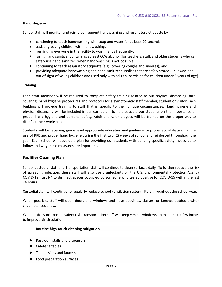#### <span id="page-6-0"></span>**Hand Hygiene**

School staff will monitor and reinforce frequent handwashing and respiratory etiquette by

- continuing to teach handwashing with soap and water for at least 20 seconds;
- assisting young children with handwashing;
- reminding everyone in the facility to wash hands frequently;
- **●** using hand sanitizer containing at least 60% alcohol (for teachers, staff, and older students who can safely use hand sanitizer) when hand washing is not possible;
- continuing to teach respiratory etiquette (e.g., covering coughs and sneezes); and
- providing adequate handwashing and hand sanitizer supplies that are safely stored (up, away, and out of sight of young children and used only with adult supervision for children under 6 years of age).

#### <span id="page-6-1"></span>**Training**

Each staff member will be required to complete safety training related to our physical distancing, face covering, hand hygiene procedures and protocols for a symptomatic staff member, student or visitor. Each building will provide training to staff that is specific to their unique circumstances. Hand hygiene and physical distancing will be included in our curriculum to help educate our students on the importance of proper hand hygiene and personal safety. Additionally, employees will be trained on the proper way to disinfect their workspace.

Students will be receiving grade level appropriate education and guidance for proper social distancing, the use of PPE and proper hand hygiene during the first two (2) weeks of school and reinforced throughout the year. Each school will develop a plan for providing our students with building specific safety measures to follow and why these measures are important.

#### <span id="page-6-2"></span>**Facilities Cleaning Plan**

School custodial staff and transportation staff will continue to clean surfaces daily. To further reduce the risk of spreading infection, these staff will also use disinfectants on the U.S. Environmental Protection Agency COVID-19 "List N" to disinfect spaces occupied by someone who tested positive for COVID-19 within the last 24 hours.

Custodial staff will continue to regularly replace school ventilation system filters throughout the school year.

When possible, staff will open doors and windows and have activities, classes, or lunches outdoors when circumstances allow.

When it does not pose a safety risk, transportation staff will keep vehicle windows open at least a few inches to improve air circulation.

#### <span id="page-6-3"></span>**Routine high touch cleaning mitigation**

- Restroom stalls and dispensers
- Cafeteria tables
- Toilets, sinks and faucets
- Food preparation surfaces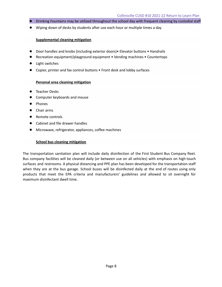- Drinking Fountains may be utilized throughout the school day with frequent cleaning by custodial staff
- Wiping down of desks by students after use each hour or multiple times a day

#### <span id="page-7-0"></span>**Supplemental cleaning mitigation**

- Door handles and knobs (including exterior doors) Elevator buttons Handrails
- Recreation equipment/playground equipment Vending machines Countertops
- **Light switches**
- Copier, printer and fax control buttons Front desk and lobby surfaces

#### **Personal area cleaning mitigation**

- <span id="page-7-1"></span>● Teacher Desks
- Computer keyboards and mouse
- Phones
- Chair arms
- Remote controls
- Cabinet and file drawer handles
- Microwave, refrigerator, appliances, coffee machines

#### **School bus cleaning mitigation**

<span id="page-7-2"></span>The transportation sanitation plan will include daily disinfection of the First Student Bus Company fleet. Bus company facilities will be cleaned daily (or between use on all vehicles) with emphasis on high touch surfaces and restrooms. A physical distancing and PPE plan has been developed for the transportation staff when they are at the bus garage. School buses will be disinfected daily at the end of routes using only products that meet the EPA criteria and manufacturers' guidelines and allowed to sit overnight for maximum disinfectant dwell time.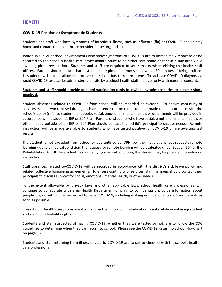## <span id="page-8-0"></span>**HEALTH**

## <span id="page-8-1"></span>**COVID-19 Positive or Symptomatic Students**

Students and staff who have symptoms of infectious illness, such as influenza (flu) or COVID-19, should stay home and contact their healthcare provider for testing and care.

Individuals in our school environments who show symptoms of COVID-19 are to immediately report to or be escorted to the school's health care professional's office to be either sent home or kept in a safe area while awaiting pickup/evaluation. **Students and staff are required to wear masks when visiting the health staff offices.** Parents should ensure that ill students are picked up from school within 30 minutes of being notified. Ill students will not be allowed to utilize the school bus to return home. To facilitate COVID-19 diagnosis a rapid COVID-19 test can be administered on site by a school health staff member only with parental consent.

## **Students and staff should provide updated vaccination cards following any primary series or booster shots received.**

Student absences related to COVID-19 from school will be recorded as excused. To ensure continuity of services, school work missed during such an absence can be requested and made up in accordance with the school's policy (refer to student handbook); social, emotional, mental health, or other needs will be provided in accordance with a student's IEP or 504 Plan. Parents of students who have social, emotional, mental health, or other needs outside of an IEP or 504 Plan should contact their child's principal to discuss needs. Remote instruction will be made available to students who have tested positive for COVID-19 or are awaiting test results.

If a student is not excluded from school or quarantined by IDPH, per their regulations, but requests remote learning due to a medical condition, the request for remote learning will be evaluated under Section 504 of the Rehabilitation Act. If the student has a qualifying medical condition, the student may be provided homebound instruction.

Staff absences related to COVID-19 will be recorded in accordance with the district's sick leave policy and related collective bargaining agreements. To ensure continuity of services, staff members should contact their principals to discuss support for social, emotional, mental health, or other needs.

To the extent allowable by privacy laws and other applicable laws, school health care professionals will continue to collaborate with area Health Department officials to confidentially provide information about people diagnosed with or suspected to have COVID-19, including making notifications to staff and parents as soon as possible.

The school's health care professional will inform the school community of outbreaks while maintaining student and staff confidentiality rights.

Students and staff suspected of having COVID-19, whether they were tested or not, are to follow the CDC guidelines to determine when they can return to school. Please see the COVID-19 Return to School Flowchart on page 16.

Students and staff returning from illness related to COVID-19 are to call to check in with the school's health care professional.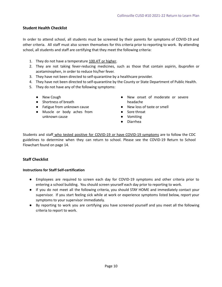## <span id="page-9-0"></span>**Student Health Checklist**

In order to attend school, all students must be screened by their parents for symptoms of COVID-19 and other criteria. All staff must also screen themselves for this criteria prior to reporting to work. By attending school, all students and staff are certifying that they meet the following criteria:

- 1. They do not have a temperature 100.4°F or higher.
- 2. They are not taking fever-reducing medicines, such as those that contain aspirin, ibuprofen or acetaminophen, in order to reduce his/her fever.
- 3. They have not been directed to self-quarantine by a healthcare provider.
- 4. They have not been directed to self-quarantine by the County or State Department of Public Health.
- 5. They do not have any of the following symptoms:
	- New Cough
	- Shortness of breath
	- Fatigue from unknown cause
	- Muscle or body aches from unknown cause
- New onset of moderate or severe headache
- New loss of taste or smell
- Sore throat
- Vomiting
- Diarrhea

Students and staff who tested positive for COVID-19 or have COVID-19 symptoms are to follow the CDC guidelines to determine when they can return to school. Please see the COVID-19 Return to School Flowchart found on page 14.

## <span id="page-9-1"></span>**Staff Checklist**

#### <span id="page-9-2"></span>**Instructions for Staff Self-certification**

- Employees are required to screen each day for COVID-19 symptoms and other criteria prior to entering a school building. You should screen yourself each day prior to reporting to work.
- If you do not meet all the following criteria, you should STAY HOME and immediately contact your supervisor. If you start feeling sick while at work or experience symptoms listed below, report your symptoms to your supervisor immediately.
- By reporting to work you are certifying you have screened yourself and you meet all the following criteria to report to work.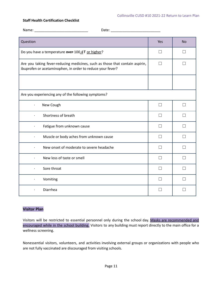#### <span id="page-10-0"></span>**Staff Health Certification Checklist**

| Question                                                                                                                                   | Yes          | <b>No</b> |  |
|--------------------------------------------------------------------------------------------------------------------------------------------|--------------|-----------|--|
| Do you have a temperature over 100.4 F or higher?                                                                                          | $\Box$       |           |  |
| Are you taking fever-reducing medicines, such as those that contain aspirin,<br>ibuprofen or acetaminophen, in order to reduce your fever? |              |           |  |
|                                                                                                                                            |              |           |  |
| Are you experiencing any of the following symptoms?                                                                                        |              |           |  |
| New Cough<br>$\bullet$                                                                                                                     | П            | П         |  |
| Shortness of breath                                                                                                                        |              |           |  |
| Fatigue from unknown cause                                                                                                                 | П            | П         |  |
| Muscle or body aches from unknown cause<br>$\bullet$                                                                                       | $\mathsf{L}$ |           |  |
| New onset of moderate to severe headache                                                                                                   |              |           |  |
| New loss of taste or smell<br>$\bullet$                                                                                                    |              |           |  |
| Sore throat<br>$\ddot{\phantom{0}}$                                                                                                        | $\mathsf{L}$ | $\Box$    |  |
| Vomiting<br>$\bullet$                                                                                                                      | $\Box$       |           |  |
| Diarrhea<br>$\bullet$                                                                                                                      |              |           |  |

## <span id="page-10-1"></span>**Visitor Plan**

Visitors will be restricted to essential personnel only during the school day. Masks are recommended and encouraged while in the school building. Visitors to any building must report directly to the main office for a wellness screening.

Nonessential visitors, volunteers, and activities involving external groups or organizations with people who are not fully vaccinated are discouraged from visiting schools.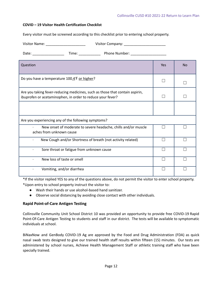#### <span id="page-11-0"></span>**COVID – 19 Visitor Health Certification Checklist**

Every visitor must be screened according to this checklist prior to entering school property.

| Visitor Name: _______________________<br>Visitor Company: _________________________                                                        |     |           |  |
|--------------------------------------------------------------------------------------------------------------------------------------------|-----|-----------|--|
|                                                                                                                                            |     |           |  |
| Question                                                                                                                                   | Yes | <b>No</b> |  |
| Do you have a temperature 100.4 F or higher?                                                                                               |     |           |  |
| Are you taking fever-reducing medicines, such as those that contain aspirin,<br>ibuprofen or acetaminophen, in order to reduce your fever? |     |           |  |
|                                                                                                                                            |     |           |  |
| Are you experiencing any of the following symptoms?                                                                                        |     |           |  |
| New onset of moderate to severe headache, chills and/or muscle<br>aches from unknown cause                                                 |     |           |  |
| New Cough and/or Shortness of breath (not activity related)                                                                                |     |           |  |
| Sore throat or fatigue from unknown cause<br>$\bullet$                                                                                     |     |           |  |
| New loss of taste or smell                                                                                                                 |     |           |  |
| Vomiting, and/or diarrhea                                                                                                                  |     |           |  |

\*If the visitor replied YES to any of the questions above, do not permit the visitor to enter school property. \*Upon entry to school property instruct the visitor to:

- Wash their hands or use alcohol-based hand sanitizer.
- Observe social distancing by avoiding close contact with other individuals.

#### <span id="page-11-1"></span>**Rapid Point-of-Care Antigen Testing**

Collinsville Community Unit School District 10 was provided an opportunity to provide free COVID-19 Rapid Point-Of-Care Antigen Testing to students and staff in our district. The tests will be available to symptomatic individuals at school.

BiNaxNow and GenBody COVID-19 Ag are approved by the Food and Drug Administration (FDA) as quick nasal swab tests designed to give our trained health staff results within fifteen (15) minutes. Our tests are administered by school nurses, Achieve Health Management Staff or athletic training staff who have been specially trained.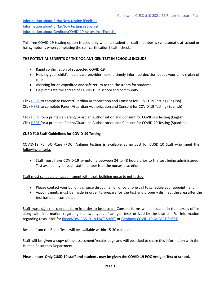[Information about BiNaxNow testing \(English\)](https://www.kahoks.org/wp-content/uploads/2020/12/fact-sheet-binaxnow-covid-19.pdf) [Information about BiNaxNow testing in Spanish](https://www.kahoks.org/wp-content/uploads/2020/12/ficha-de-datos-binaxnow-covid-19.pdf) [Information about GenBodyCOVID-19 Ag testing \(English\)](https://www.fda.gov/media/150787/download)

This free COVID-19 testing option is used only when a student or staff member is symptomatic at school or has symptoms when completing the self-certification health check.

## **THE POTENTIAL BENEFITS OF THE POC ANTIGEN TEST IN SCHOOLS INCLUDE:**

- Rapid confirmation of suspected COVID-19
- Helping your child's healthcare provider make a timely informed decision about your child's plan of care
- Assisting for an expedited and safe return to the classroom for students
- Help mitigate the spread of COVID-19 in school and community

Click [HERE](https://docs.google.com/forms/d/e/1FAIpQLSfaVfAlJTkCIorvL1lg_49gMrpDCpXcp-yqXifErEoSUK81Gg/viewform) to complete Parent/Guardian Authorization and Consent for COVID-19 Testing (English) Click [HERE](https://docs.google.com/forms/d/e/1FAIpQLScTIJ49mDqr_g96jiePjS89wsZIEMHigd9UCT7wlce9nj_CDQ/viewform) to complete Parent/Guardian Authorization and Consent for COVID-19 Testing (Spanish)

Click [HERE](https://www.kahoks.org/wp-content/uploads/2020/12/authorization-and-consent-for-covid-19-testing-1.pdf) for a printable Parent/Guardian Authorization and Consent for COVID-19 Testing (English) Click [HERE](https://www.kahoks.org/wp-content/uploads/2020/12/autorizacion-y-consentimiento-para-hacer-una-prueba-de-covid-19-1.pdf) for a printable Parent/Guardian Authorization and Consent for COVID-19 Testing (Spanish)

## **CUSD #10 Staff Guidelines for COVID-19 Testing**

COVID-19 Point-Of-Care (POC) Antigen testing is available at no cost for CUSD 10 Staff who meet the following criteria:

● Staff must have COVID-19 symptoms between 24 to 48 hours prior to the test being administered. Test availability for each staff member is at the nurses discretion.

Staff must schedule an appointment with their building nurse to get tested

- Please contact your building's nurse through email or by phone call to schedule your appointment
- Appointments must be made in order to prepare for the test and properly disinfect the area after the test has been completed

Staff must sign the consent form in order to be tested. Consent forms will be located in the nurse's office along with information regarding the two types of antigen tests utilized by the district. For information regarding tests, click for [BinaxNOW COVID-19 FACT SHEET](https://www.kahoks.org/wp-content/uploads/2020/12/fact-sheet-binaxnow-covid-19.pdf) or [GenBody COVID-19 Ag FACT SHEET.](https://www.fda.gov/media/150787/download)

Results from the Rapid Tests will be available within 15-30 minutes.

Staff will be given a copy of the assessment/results page and will be asked to share this information with the Human Resources Department.

#### **Please note: Only CUSD 10 staff and students may be given the COVID-19 POC Antigen Test at school.**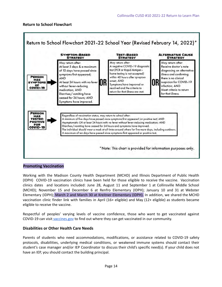<span id="page-13-0"></span>

#### <span id="page-13-1"></span>**Promoting Vaccination**

Working with the Madison County Health Department (MCHD) and Illinois Department of Public Health (IDPH) COVID-19 vaccination clinics have been held for those eligible to receive the vaccine. Vaccination clinics dates and locations included: June 28, August 11 and September 1 at Collinsville Middle School (MCHD); November 15 and December 6 at Renfro Elementary (IDPH); January 10 and 31 at Webster Elementary (IDPH); March 2 and March 30 at Kreitner Elementary (IDPH). In addition, we shared the MCHD vaccination clinic finder link with families in April (16+ eligible) and May (12+ eligible) as students became eligible to receive the vaccine.

Respectful of peoples' varying levels of vaccine confidence, those who want to get vaccinated against COVID-19 can visit [vaccines.gov](http://www.vaccines.gov/) to find out where they can get vaccinated in our community.

#### <span id="page-13-2"></span>**Disabilities or Other Health Care Needs**

Parents of students who need accommodations, modifications, or assistance related to COVID-19 safety protocols, disabilities, underlying medical conditions, or weakened immune systems should contact their student's case manager and/or IEP Coordinator to discuss their child's specific need(s). If your child does not have an IEP, you should contact the building principal.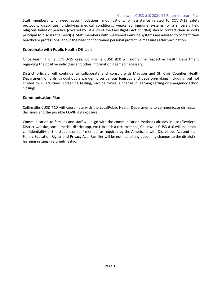Staff members who need accommodations, modifications, or assistance related to COVID-19 safety protocols, disabilities, underlying medical conditions, weakened immune systems, or a sincerely held religious belief or practice (covered by Title VII of the Civil Rights Act of 1964) should contact their school's principal to discuss the need(s). Staff members with weakened immune systems are advised to contact their healthcare professional about the need for continued personal protective measures after vaccination.

#### <span id="page-14-0"></span>**Coordinate with Public Health Officials**

Once learning of a COVID-19 case, Collinsville CUSD #10 will notify the respective Health Department regarding the positive individual and other information deemed necessary.

District officials will continue to collaborate and consult with Madison and St. Clair Counties Health Department officials throughout a pandemic on various logistics and decision-making including, but not limited to, quarantines, screening testing, vaccine clinics, a change in learning setting or emergency school closings.

#### <span id="page-14-1"></span>**Communication Plan**

Collinsville CUSD #10 will coordinate with the LocalPublic Health Departments to communicate dismissal decisions and the possible COVID-19 exposure.

Communication to families and staff will align with the communication methods already in use (SkyAlert, District website, social media, district app, etc.) In such a circumstance, Collinsville CUSD #10 will maintain confidentiality of the student or staff member as required by the Americans with Disabilities Act and the Family Education Rights and Privacy Act. Families will be notified of any upcoming changes to the district's learning setting in a timely fashion.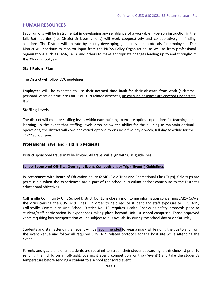## <span id="page-15-0"></span>**HUMAN RESOURCES**

Labor unions will be instrumental in developing any semblance of a workable in-person instruction in the fall. Both parties (i.e. District & labor unions) will work cooperatively and collaboratively in finding solutions. The District will operate by mostly developing guidelines and protocols for employees. The District will continue to monitor input from the PRESS Policy Organization, as well as from professional organizations such as IASA, IASB, and others to make appropriate changes leading up to and throughout the 21-22 school year.

#### <span id="page-15-1"></span>**Staff Return Plan**

The District will follow CDC guidelines.

Employees will be expected to use their accrued time bank for their absence from work (sick time, personal, vacation time, etc.) for COVID-19 related absences, unless such absences are covered under state law.

#### <span id="page-15-2"></span>**Staffing Levels**

The district will monitor staffing levels within each building to ensure optimal operations for teaching and learning. In the event that staffing levels drop below the ability for the building to maintain optimal operations, the district will consider varied options to ensure a five day a week, full day schedule for the 21-22 school year.

#### <span id="page-15-3"></span>**Professional Travel and Field Trip Requests**

District sponsored travel may be limited. All travel will align with CDC guidelines.

#### **School Sponsored Off-Site, Overnight Event, Competition, or Trip ("Event") Guidelines**

In accordance with Board of Education policy 6:240 (Field Trips and Recreational Class Trips), field trips are permissible when the experiences are a part of the school curriculum and/or contribute to the District's educational objectives.

Collinsville Community Unit School District No. 10 is closely monitoring information concerning SARS- CoV-2, the virus causing the COVID-19 illness. In order to help reduce student and staff exposure to COVID-19, Collinsville Community Unit School District No. 10 requires Health Checks as safety protocols prior to student/staff participation in experiences taking place beyond Unit 10 school campuses. Those approved vents requiring bus transportation will be subject to bus availability during the school day or on Saturday.

Students and staff attending an event will be recommended to wear a mask while riding the bus to and from the event venue and follow all required COVID-19 related protocols for the host site while attending the event.

Parents and guardians of all students are required to screen their student according to this checklist prior to sending their child on an off-sight, overnight event, competition, or trip ("event") and take the student's temperature before sending a student to a school sponsored event.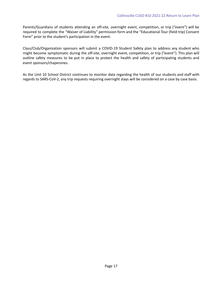Parents/Guardians of students attending an off-site, overnight event, competition, or trip ("event") will be required to complete the "Waiver of Liability" permission form and the "Educational Tour (field trip) Consent Form" prior to the student's participation in the event.

Class/Club/Organization sponsors will submit a COVID-19 Student Safety plan to address any student who might become symptomatic during the off-site, overnight event, competition, or trip ("event"). This plan will outline safety measures to be put in place to protect the health and safety of participating students and event sponsors/chaperones.

As the Unit 10 School District continues to monitor data regarding the health of our students and staff with regards to SARS-CoV-2, any trip requests requiring overnight stays will be considered on a case by case basis.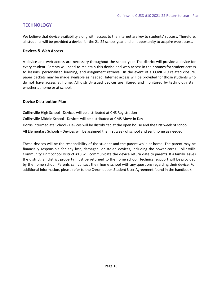## <span id="page-17-0"></span>**TECHNOLOGY**

We believe that device availability along with access to the internet are key to students' success. Therefore, all students will be provided a device for the 21-22 school year and an opportunity to acquire web access.

## <span id="page-17-1"></span>**Devices & Web Access**

A device and web access are necessary throughout the school year. The district will provide a device for every student. Parents will need to maintain this device and web access in their homes for student access to lessons, personalized learning, and assignment retrieval. In the event of a COVID-19 related closure, paper packets may be made available as needed. Internet access will be provided for those students who do not have access at home. All district-issued devices are filtered and monitored by technology staff whether at home or at school.

## <span id="page-17-2"></span>**Device Distribution Plan**

Collinsville High School - Devices will be distributed at CHS Registration Collinsville Middle School - Devices will be distributed at CMS Move-in Day Dorris Intermediate School - Devices will be distributed at the open house and the first week of school All Elementary Schools - Devices will be assigned the first week of school and sent home as needed

These devices will be the responsibility of the student and the parent while at home. The parent may be financially responsible for any lost, damaged, or stolen devices, including the power cords. Collinsville Community Unit School District #10 will communicate the device return date to parents. If a family leaves the district, all district property must be returned to the home school. Technical support will be provided by the home school. Parents can contact their home school with any questions regarding their device. For additional information, please refer to the Chromebook Student User Agreement found in the handbook.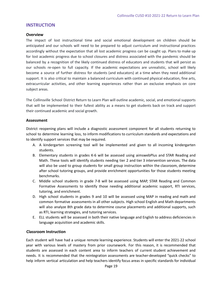## <span id="page-18-0"></span>**INSTRUCTION**

#### <span id="page-18-1"></span>**Overview**

The impact of lost instructional time and social emotional development on children should be anticipated and our schools will need to be prepared to adjust curriculum and instructional practices accordingly without the expectation that all lost academic progress can be caught up. Plans to make up for lost academic progress due to school closures and distress associated with the pandemic should be balanced by a recognition of the likely continued distress of educators and students that will persist as our schools re-open to full capacity. If the academic expectations are unrealistic, school will likely become a source of further distress for students (and educators) at a time when they need additional support. It is also critical to maintain a balanced curriculum with continued physical education, fine arts, extracurricular activities, and other learning experiences rather than an exclusive emphasis on core subject areas.

The Collinsville School District Return to Learn Plan will outline academic, social, and emotional supports that will be implemented to their fullest ability as a means to get students back on track and support their continued academic and social growth.

#### <span id="page-18-2"></span>**Assessment**

District reopening plans will include a diagnostic assessment component for all students returning to school to determine learning loss, to inform modifications to curriculum standards and expectations and to identify support services that may be required.

- A. A kindergarten screening tool will be implemented and given to all incoming kindergarten students.
- B. Elementary students in grades K-6 will be assessed using aimswebPlus and STAR Reading and Math. These tools will identify students needing tier 2 and tier 3 intervention services. The data will also be used to group students for small group instruction within the classroom, determine after school tutoring groups, and provide enrichment opportunities for those students meeting benchmarks.
- C. Middle school students in grade 7-8 will be assessed using MAP, STAR Reading and Common Formative Assessments to identify those needing additional academic support, RTI services, tutoring, and enrichment.
- D. High school students in grades 9 and 10 will be assessed using MAP in reading and math and common formative assessments in all other subjects. High school English and Math departments will also analyze 8th grade data to determine course placements and additional supports, such as RTI, learning strategies, and tutoring services.
- E. ELL students will be assessed in both their native language and English to address deficiencies in language acquisition and academic skills.

#### <span id="page-18-3"></span>**Classroom Instruction**

Each student will have had a unique remote learning experience. Students will enter the 2021-22 school year with various levels of mastery from prior coursework. For this reason, it is recommended that students are assessed in each content area to inform teachers of current student achievement and needs. It is recommended that the reintegration assessments are teacher-developed "quick checks" to help inform vertical articulation and help teachers identify focus areas in specific standards for individual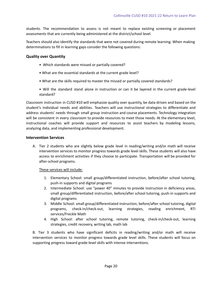students. The recommendation to assess is not meant to replace existing screening or placement assessments that are currently being administered at the district/school level.

Teachers should also identify the standards that were not covered during remote learning. When making determinations to fill in learning gaps consider the following questions:

#### <span id="page-19-0"></span>**Quality over Quantity**

- Which standards were missed or partially covered?
- What are the essential standards at the current grade level?
- What are the skills required to master the missed or partially covered standards?
- Will the standard stand alone in instruction or can it be layered in the current grade-level standard?

Classroom instruction in CUSD #10 will emphasize quality over quantity, be data-driven and based on the student's individual needs and abilities. Teachers will use instructional strategies to differentiate and address students' needs through small group instruction and course placements. Technology integration will be consistent in every classroom to provide resources to meet those needs. At the elementary level, instructional coaches will provide support and resources to assist teachers by modeling lessons, analyzing data, and implementing professional development.

#### <span id="page-19-1"></span>**Intervention Services**

A. Tier 2 students who are slightly below grade level in reading/writing and/or math will receive intervention services to monitor progress towards grade level skills. These students will also have access to enrichment activities if they choose to participate. Transportation will be provided for after-school programs.

These services will include:

- 1. Elementary School: small group/differentiated instruction, before/after school tutoring, push-in supports and digital programs
- 2. Intermediate School: use "power 40" minutes to provide instruction in deficiency areas, small group/differentiated instruction, before/after school tutoring, push-in supports and digital programs
- 3. Middle School: small group/differentiated instruction, before/after school tutoring, digital programs, check-in/check-out, learning strategies, reading enrichment, RTI services/Freckle Math
- 4. High School: after school tutoring, remote tutoring, check-in/check-out, learning strategies, credit recovery, writing lab, math lab

B. Tier 3 students who have significant deficits in reading/writing and/or math will receive intervention services to monitor progress towards grade level skills. These students will focus on supporting progress toward grade-level skills with intense interventions.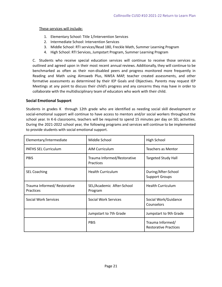These services will include:

- 1. Elementary School: Title 1/Intervention Services
- 2. Intermediate School: Intervention Services
- 3. Middle School: RTI services/Read 180, Freckle Math, Summer Learning Program
- 4. High School: RTI Services, Jumpstart Program, Summer Learning Program

C. Students who receive special education services will continue to receive those services as outlined and agreed upon in their most recent annual reviews. Additionally, they will continue to be benchmarked as often as their non-disabled peers and progress monitored more frequently in Reading and Math using Aimsweb Plus, NWEA MAP, teacher created assessments, and other formative assessments as determined by their IEP Goals and Objectives. Parents may request IEP Meetings at any point to discuss their child's progress and any concerns they may have in order to collaborate with the multidisciplinary team of educators who work with their child.

## <span id="page-20-0"></span>**Social Emotional Support**

Students in grades K through 12th grade who are identified as needing social skill development or social-emotional support will continue to have access to mentors and/or social workers throughout the school year. In K-6 classrooms, teachers will be required to spend 15 minutes per day on SEL activities. During the 2021-2022 school year, the following programs and services will continue to be implemented to provide students with social emotional support.

| Elementary/Intermediate                          | Middle School                            | High School                                      |
|--------------------------------------------------|------------------------------------------|--------------------------------------------------|
| <b>PATHS SEL Curriculum</b>                      | AIM Curriculum                           | <b>Teachers as Mentor</b>                        |
| <b>PBIS</b>                                      | Trauma Informed/Restorative<br>Practices | <b>Targeted Study Hall</b>                       |
| <b>SEL Coaching</b>                              | <b>Health Curriculum</b>                 | During/After-School<br><b>Support Groups</b>     |
| Trauma Informed/ Restorative<br><b>Practices</b> | SEL/Academic After-School<br>Program     | <b>Health Curriculum</b>                         |
| <b>Social Work Services</b>                      | <b>Social Work Services</b>              | Social Work/Guidance<br>Counselors               |
|                                                  | Jumpstart to 7th Grade                   | Jumpstart to 9th Grade                           |
|                                                  | <b>PBIS</b>                              | Trauma Informed/<br><b>Restorative Practices</b> |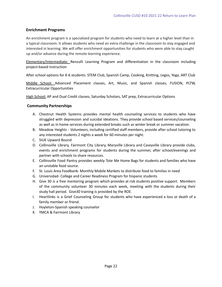## <span id="page-21-0"></span>**Enrichment Programs**

An enrichment program is a specialized program for students who need to learn at a higher level than in a typical classroom. It allows students who need an extra challenge in the classroom to stay engaged and interested in learning. We will offer enrichment opportunities for students who were able to stay caught up and/or advance during the remote learning experience.

Elementary/Intermediate: Renzulli Learning Program and differentiation in the classroom including project-based instruction

After school options for K-6 students: STEM Club, Spanish Camp, Cooking, Knitting, Legos, Yoga, ART Club

Middle School: Advanced Placement classes, Art, Music, and Spanish classes, FUSION, PLTW, Extracurricular Opportunities

High School: AP and Dual Credit classes, Saturday Scholars, SAT prep, Extracurricular Options

## <span id="page-21-1"></span>**Community Partnerships**

- A. Chestnut Health Systems provides mental health counseling services to students who have struggled with depression and suicidal ideations. They provide school based services/counseling as well as in home services during extended breaks such as winter break or summer vacation.
- B. Meadow Heights Volunteers, including certified staff members, provide after school tutoring to any interested students 2 nights a week for 60 minutes per night.
- C. SIUE Upward Bound
- D. Collinsville Library, Fairmont City Library, Maryville Library and Caseyville Library provide clubs, events and enrichment programs for students during the summer, after school/evenings and partner with schools to share resources.
- E. Collinsville Food Pantry provides weekly Tote Me Home Bags for students and families who have an unstable food source.
- F. St. Louis Area Foodbank- Monthly Mobile Markets to distribute food to families in need
- G. Universidad- College and Career Readiness Program for hispanic students
- H. Give 30 is a free mentoring program which provides at risk students positive support. Members of the community volunteer 30 minutes each week, meeting with the students during their study hall period. Give30 training is provided by the ROE.
- I. Heartlinks is a Grief Counseling Group for students who have experienced a loss or death of a family member or friend.
- J. Hoyleton-Spanish speaking counselor
- K. YMCA & Fairmont Library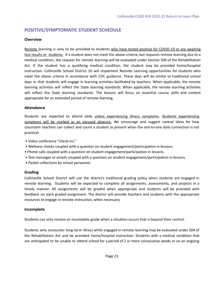# **POSITIVE/SYMPTOMATIC STUDENT SCHEDULE**

## <span id="page-22-0"></span>**Overview**

Remote learning is only to be provided to students who have tested positive for COVID-19 or are awaiting test results or students. If a student does not meet the above criteria, but requests remote learning due to a medical condition, the request for remote learning will be evaluated under Section 504 of the Rehabilitation Act. If the student has a qualifying medical condition, the student may be provided home/hospital instruction. Collinsville School District 10 will implement Remote Learning opportunities for students who meet the above criteria in accordance with CDC guidance. These days will be similar to traditional school days in that students will engage in learning activities facilitated by teachers. When applicable, the remote learning activities will reflect the State learning standards. When applicable, the remote learning activities will reflect the State learning standards. The lessons will focus on essential course skills and content appropriate for an extended period of remote learning.

## <span id="page-22-1"></span>**Attendance**

Students are expected to attend daily unless experiencing illness symptoms. Students experiencing symptoms will be marked as an excused absence. We encourage and suggest several ideas for how classroom teachers can collect and count a student as present when the one-to-one daily connection is not practical:

- Video conference "check-ins."
- Wellness checks coupled with a question on student engagement/participation in lessons.
- Phone calls coupled with a question on student engagement/participation in lessons.
- Text messages or emails coupled with a question on student engagement/participation in lessons.
- Packet collections by school personnel.

## <span id="page-22-2"></span>**Grading**

Collinsville School District will use the district's traditional grading policy when students are engaged in remote learning. Students will be expected to complete all assignments, assessments, and projects in a timely manner. All assignments will be graded when appropriate and students will be provided with feedback on each graded assignment. The district will provide teachers and students with the appropriate resources to engage in remote instruction, when necessary.

## <span id="page-22-3"></span>**Incomplete**

Students can only receive an incomplete grade when a situation occurs that is beyond their control.

Students who encounter long-term illness while engaged in remote learning may be evaluated under 504 of the Rehabilitation Act and be provided home/hospital instruction. Students with a medical condition that are anticipated to be unable to attend school for a period of 2 or more consecutive weeks or on an ongoing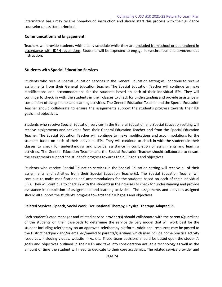intermittent basis may receive homebound instruction and should start this process with their guidance counselor or assistant principal.

#### <span id="page-23-0"></span>**Communication and Engagement**

Teachers will provide students with a daily schedule while they are excluded from school or quarantined in accordance with IDPH regulations. Students will be expected to engage in synchronous and asynchronous instruction.

#### <span id="page-23-1"></span>**Students with Special Education Services**

Students who receive Special Education services in the General Education setting will continue to receive assignments from their General Education teacher. The Special Education Teacher will continue to make modifications and accommodations for the students based on each of their individual IEPs. They will continue to check in with the students in their classes to check for understanding and provide assistance in completion of assignments and learning activities. The General Education Teacher and the Special Education Teacher should collaborate to ensure the assignments support the student's progress towards their IEP goals and objectives.

Students who receive Special Education services in the General Education and Special Education setting will receive assignments and activities from their General Education Teacher and from the Special Education Teacher. The Special Education Teacher will continue to make modifications and accommodations for the students based on each of their individual IEPs. They will continue to check in with the students in their classes to check for understanding and provide assistance in completion of assignments and learning activities. The General Education Teacher and the Special Education Teacher should collaborate to ensure the assignments support the student's progress towards their IEP goals and objectives.

Students who receive Special Education services in the Special Education setting will receive all of their assignments and activities from their Special Education Teacher(s). The Special Education Teacher will continue to make modifications and accommodations for the students based on each of their individual IEPs. They will continue to check in with the students in their classes to check for understanding and provide assistance in completion of assignments and learning activities. The assignments and activities assigned should all support the student's progress towards their IEP goals and objectives.

#### **Related Services: Speech, Social Work, Occupational Therapy, Physical Therapy, Adapted PE**

Each student's case manager and related service provider(s) should collaborate with the parents/guardians of the students on their caseloads to determine the service delivery model that will work best for the student including teletherapy on an approved teletherapy platform. Additional resources may be posted to the District backpack and/or emailed/mailed to parents/guardians which may include home practice activity resources, including videos, website links, etc. These team decisions should be based upon the student's goals and objectives outlined in their IEPs and take into consideration available technology as well as the amount of time the student will need to dedicate to their core academics. The related service provider and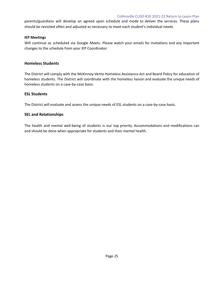#### Collinsville CUSD #10 2021-22 Return to Learn Plan

parents/guardians will develop an agreed upon schedule and mode to deliver the services. These plans should be revisited often and adjusted as necessary to meet each student's individual needs.

#### **IEP Meetings**

Will continue as scheduled via Google Meets. Please watch your emails for invitations and any important changes to the schedule from your IEP Coordinator.

## <span id="page-24-0"></span>**Homeless Students**

The District will comply with the McKinney-Vento Homeless Assistance Act and Board Policy for education of homeless students. The District will coordinate with the homeless liaison and evaluate the unique needs of homeless students on a case-by-case basis.

## <span id="page-24-1"></span>**ESL Students**

The District will evaluate and assess the unique needs of ESL students on a case-by-case basis.

## <span id="page-24-2"></span>**SEL and Relationships**

The health and mental well-being of students is our top priority. Accommodations and modifications can and should be done when appropriate for students and their mental health.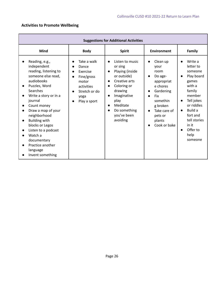# <span id="page-25-0"></span>**Activities to Promote Wellbeing**

| <b>Suggestions for Additional Activities</b>                                                                                                                                                                                                                                                                                                                                                                                                          |                                                                                                                                          |                                                                                                                                                                                                                                                                                  |                                                                                                                                                                                                                                        |                                                                                                                                                                                                                                                                  |
|-------------------------------------------------------------------------------------------------------------------------------------------------------------------------------------------------------------------------------------------------------------------------------------------------------------------------------------------------------------------------------------------------------------------------------------------------------|------------------------------------------------------------------------------------------------------------------------------------------|----------------------------------------------------------------------------------------------------------------------------------------------------------------------------------------------------------------------------------------------------------------------------------|----------------------------------------------------------------------------------------------------------------------------------------------------------------------------------------------------------------------------------------|------------------------------------------------------------------------------------------------------------------------------------------------------------------------------------------------------------------------------------------------------------------|
| <b>Mind</b>                                                                                                                                                                                                                                                                                                                                                                                                                                           | <b>Body</b>                                                                                                                              | <b>Spirit</b>                                                                                                                                                                                                                                                                    | <b>Environment</b>                                                                                                                                                                                                                     | Family                                                                                                                                                                                                                                                           |
| Reading, e.g.,<br>$\bullet$<br>independent<br>reading, listening to<br>someone else read,<br>audiobooks<br>Puzzles, Word<br>$\bullet$<br><b>Searches</b><br>Write a story or in a<br>journal<br>Count money<br>Draw a map of your<br>$\bullet$<br>neighborhood<br><b>Building with</b><br>$\bullet$<br>blocks or Legos<br>Listen to a podcast<br>$\bullet$<br>Watch a<br>documentary<br>Practice another<br>$\bullet$<br>language<br>Invent something | Take a walk<br>$\bullet$<br>Dance<br>Exercise<br>Fine/gross<br>$\bullet$<br>motor<br>activities<br>Stretch or do<br>yoga<br>Play a sport | Listen to music<br>$\bullet$<br>or sing<br>Playing (inside<br>$\bullet$<br>or outside)<br>Creative arts<br>$\bullet$<br>Coloring or<br>$\bullet$<br>drawing<br>Imaginative<br>$\bullet$<br>play<br>Meditate<br>$\bullet$<br>Do something<br>$\bullet$<br>you've been<br>avoiding | Clean up<br>your<br>room<br>Do age-<br>$\bullet$<br>appropriat<br>e chores<br>Gardening<br>$\bullet$<br><b>Fix</b><br>$\bullet$<br>somethin<br>g broken<br>Take care of<br>$\bullet$<br>pets or<br>plants<br>Cook or bake<br>$\bullet$ | Write a<br>$\bullet$<br>letter to<br>someone<br>Play board<br>$\bullet$<br>games<br>with a<br>family<br>member<br>Tell jokes<br>$\bullet$<br>or riddles<br>Build a<br>$\bullet$<br>fort and<br>tell stories<br>in it<br>Offer to<br>$\bullet$<br>help<br>someone |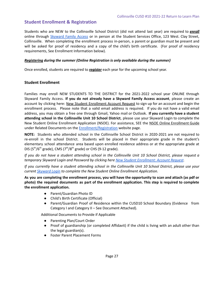# <span id="page-26-0"></span>**Student Enrollment & Registration**

Students who are NEW to the Collinsville School District (did not attend last year) are required to *enroll* online through [Skyward Family Access](https://www.kahoks.org/headlines/online-enrollment-for-new-students-begins-june-1-2020/) or in person at the Student Services Office, 123 West. Clay Street, Collinsville. When completing the enrollment process in-person, a parent or guardian must be present and will be asked for proof of residency and a copy of the child's birth certificate. (For proof of residency requirements, See Enrollment Information below).

## *Registering during the summer (Online Registration is only available during the summer)*

Once enrolled, students are required to *register* each year for the upcoming school year.

## <span id="page-26-1"></span>**Student Enrollment**

Families may enroll NEW STUDENTS TO THE DISTRICT for the 2021-2022 school year ONLINE through Skyward Family Access. **If you do not already have a Skyward Family Access account**, please create an account by clicking here[: New Student Enrollment Account Request](https://skyward.kahoks.org/scripts/wsisa.dll/WService=wsEAplus/skyenroll.w) to sign up for an account and begin the enrollment process. Please note that a valid email address is required. If you do not have a valid email address, you may obtain a free one through Gmail, Yahoo mail or Outlook. **If you currently have a student attending school in the Collinsville Unit 10 School District**, please use your Skyward Login to complete the New Student Online Enrollment Application (NSOE). For assistance, SEE the [NSOE Online Enrollment Guide](https://www.kahoks.org/parents/enrollment/) under Related Documents on the [Enrollment/Registration](https://www.kahoks.org/parents/enrollment/) website page.

**NOTE:** Students who attended school in the Collinsville School District in 2020-2021 are not required to re-enroll in the school District. Students will be placed in their appropriate grade in the student's elementary school attendance area based upon enrolled residence address or at the appropriate grade at DIS ( $5<sup>th</sup>/6<sup>th</sup>$  grade), CMS ( $7<sup>th</sup>/8<sup>th</sup>$  grade) or CHS (9-12 grade).

*If you do not have a student attending school in the Collinsville Unit 10 School District, please request a temporary Skyward Login and Password by clicking here [New Student Enrollment: Account Request](https://skyward.kahoks.org/scripts/wsisa.dll/WService=wsEAplus/skyenroll.w).*

*If you currently have a student attending school in the Collinsville Unit 10 School District, please use your current [Skyward Login](https://skyward.kahoks.org/scripts/wsisa.dll/WService=wsEAplus/seplog01.w) to complete the New Student Online Enrollment Application.*

**As you are completing the enrollment process, you will have the opportunity to scan and attach (as pdf or photo) the required documents as part of the enrollment application. This step is required to complete the enrollment application.**

- Parent/Guardian Photo ID
- Child's Birth Certificate (Official)
- Parent/Guardian Proof of Residence within the CUSD10 School Boundary (Evidence from Category I and Category II – See Document Attached).

Additional Documents to Provide if Applicable

- Parenting Plan/Court Order
- Proof of guardianship (or completed Affidavit) if the child is living with an adult other than the legal guardian(s).
- Foster Parent Placement Forms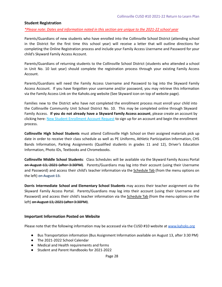#### <span id="page-27-0"></span>**Student Registration**

*\*Please note: Dates and information noted in this section are unique to the 2021-22 school year*

Parents/Guardians of new students who have enrolled into the Collinsville School District (attending school in the District for the first time this school year) will receive a letter that will outline directions for completing the Online Registration process and include your Family Access Username and Password for your child's Skyward Family Access Account.

Parents/Guardians of returning students to the Collinsville School District (students who attended a school in Unit No. 10 last year) should complete the registration process through your existing Family Access Account.

Parents/Guardians will need the Family Access Username and Password to log into the Skyward Family Access Account. If you have forgotten your username and/or password, you may retrieve this information via the Family Access Link on the Kahoks.org website (See Skyward icon on top of website page).

Families new to the District who have not completed the enrollment process must enroll your child into the Collinsville Community Unit School District No. 10. This may be completed online through Skyward Family Access. **If you do not already have a Skyward Family Access account**, please create an account by clicking here: [New Student Enrollment Account Request](https://skyward.kahoks.org/scripts/wsisa.dll/WService=wsEAplus/skyenroll.w) to sign up for an account and begin the enrollment process.

**Collinsville High School Students** must attend Collinsville High School on their assigned materials pick up date in order to receive their class schedule as well as PE Uniforms, Athletic Participation Information, CHS Bands Information, Parking Assignments (Qualified students in grades 11 and 12), Driver's Education Information, Photo IDs, Textbooks and Chromebooks.

**Collinsville Middle School Students**: Class Schedules will be available via the Skyward Family Access Portal on August 13, 2021 (after 3:30PM). Parents/Guardians may log into their account (using their Username and Password) and access their child's teacher information via the Schedule Tab (from the menu options on the left) on August 13.

**Dorris Intermediate School and Elementary School Students** may access their teacher assignment via the Skyward Family Access Portal. Parents/Guardians may log into their account (using their Username and Password) and access their child's teacher information via the **Schedule Tab** (from the menu options on the left) on August 13, 2021 (after 3:30PM).

#### <span id="page-27-1"></span>**Important Information Posted on Website**

Please note that the following information may be accessed via the CUSD #10 website at [www.kahoks.org](http://www.kahoks.org)

- Bus Transportation information (Bus Assignment Information available on August 13, after 3:30 PM)
- The 2021-2022 School Calendar
- Medical and Health requirements and forms
- Student and Parent Handbooks for 2021-2022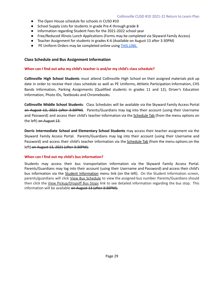- The Open House schedule for schools in CUSD #10
- School Supply Lists for students in grade Pre-K through grade 8
- Information regarding Student Fees for the 2021-2022 school year
- Free/Reduced Illinois Lunch Applications (Forms may be completed via Skyward Family Access)
- Teacher Assignment for students in grades K-6 (Available on August 13 after 3:30PM)
- PE Uniform Orders may be completed online using [THIS LINK.](https://collinsvillepe2021.itemorder.com/sale)

#### <span id="page-28-0"></span>**Class Schedule and Bus Assignment Information**

#### **When can I find out who my child's teacher is and/or my child's class schedule?**

**Collinsville High School Students** must attend Collinsville High School on their assigned materials pick up date in order to receive their class schedule as well as PE Uniforms, Athletic Participation Information, CHS Bands Information, Parking Assignments (Qualified students in grades 11 and 12), Driver's Education Information, Photo IDs, Textbooks and Chromebooks.

**Collinsville Middle School Students**: Class Schedules will be available via the Skyward Family Access Portal on August 13, 2021 (after 3:30PM). Parents/Guardians may log into their account (using their Username and Password) and access their child's teacher information via the Schedule Tab (from the menu options on the left) on August 13.

**Dorris Intermediate School and Elementary School Students** may access their teacher assignment via the Skyward Family Access Portal. Parents/Guardians may log into their account (using their Username and Password) and access their child's teacher information via the **Schedule Tab** (from the menu options on the left) on August 13, 2021 (after 3:30PM).

#### **When can I find out my child's bus information?**

Students may access their bus transportation information via the Skyward Family Access Portal. Parents/Guardians may log into their account (using their Username and Password) and access their child's bus information via the **Student Information** menu link (on the left). On the Student Information screen, parents/guardians will click View Bus Schedule to view the assigned bus number. Parents/Guardians should then click the View Pickup/Dropoff Bus Stops link to see detailed information regarding the bus stop. This information will be available on August 13 (after 3:30PM).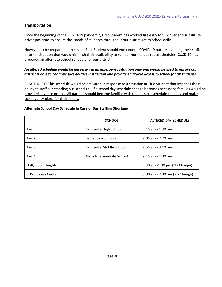## <span id="page-29-0"></span>**Transportation**

Since the beginning of the COVID-19 pandemic, First Student has worked tirelessly to fill driver and substitute driver positions to ensure thousands of students throughout our district get to school daily.

However, to be prepared in the event First Student should encounter a COVID-19 outbreak among their staff, or other situation that would diminish their availability to run our normal bus route schedules, CUSD 10 has prepared an alternate school schedule for our district.

## *An altered schedule would be necessary in an emergency situation only and would be used to ensure our district is able to continue face-to-face instruction and provide equitable access to school for all students.*

PLEASE NOTE: This schedule would be activated in response to a situation at First Student that impedes their ability to staff our standing bus schedule. If a school day schedule change becomes necessary, families would be provided advance notice. All parents should become familiar with the possible schedule changes and make contingency plans for their family.

## **Alternate School Day Schedule in Case of Bus Staffing Shortage**

|                           | <b>SCHOOL</b>              | ALTERED DAY SCHEDULE          |
|---------------------------|----------------------------|-------------------------------|
| Tier I                    | Collinsville High School   | 7:15 am - 1:30 pm             |
| Tier 2                    | <b>Elementary Schools</b>  | 8:05 am - 2:20 pm             |
| Tier 3                    | Collinsville Middle School | $8:55$ am - $3:10$ pm         |
| Tier 4                    | Dorris Intermediate School | $9:45$ am - 4:00 pm           |
| Hollywood Heights         |                            | 7:30 am -1:30 pm (No Change)  |
| <b>CHS Success Center</b> |                            | 9:00 am - 2:00 pm (No Change) |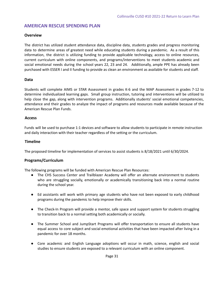# <span id="page-30-0"></span>**AMERICAN RESCUE SPENDING PLAN**

## <span id="page-30-1"></span>**Overview**

The district has utilized student attendance data, discipline data, students grades and progress monitoring data to determine areas of greatest need while educating students during a pandemic. As a result of this information, the district is utilizing funding to provide applicable technology, access to online resources, current curriculum with online components, and programs/interventions to meet students academic and social emotional needs during the school years 22, 23 and 24. Additionally, ample PPE has already been purchased with ESSER I and II funding to provide as clean an environment as available for students and staff.

## **Data**

Students will complete AIMS or STAR Assessment in grades K-6 and the MAP Assessment in grades 7-12 to determine individualized learning gaps. Small group instruction, tutoring and interventions will be utilized to help close the gap, along with intervention programs. Additionally students' social emotional competencies, attendance and their grades to analyze the impact of programs and resources made available because of the American Rescue Plan Funds.

## <span id="page-30-2"></span>**Access**

Funds will be used to purchase 1:1 devices and software to allow students to participate in remote instruction and daily interaction with their teacher regardless of the setting or the curriculum.

## <span id="page-30-3"></span>**Timeline**

<span id="page-30-4"></span>The proposed timeline for implementation of services to assist students is 8/18/2021 until 6/30/2024.

## **Programs/Curriculum**

The following programs will be funded with American Rescue Plan Resources:

- The CHS Success Center and Trailblazer Academy will offer an alternate environment to students who are struggling socially, emotionally or academically transitioning back into a normal routine during the school year.
- Ed assistants will work with primary age students who have not been exposed to early childhood programs during the pandemic to help improve their skills.
- The Check-In Program will provide a mentor, safe space and support system for students struggling to transition back to a normal setting both academically or socially.
- The Summer School and JumpStart Programs will offer transportation to ensure all students have equal access to core subject and social emotional activities that have been impacted after living in a pandemic for over 18 months.
- Core academic and English Language adoptions will occur in math, science, english and social studies to ensure students are exposed to a relevant curriculum with an online component.